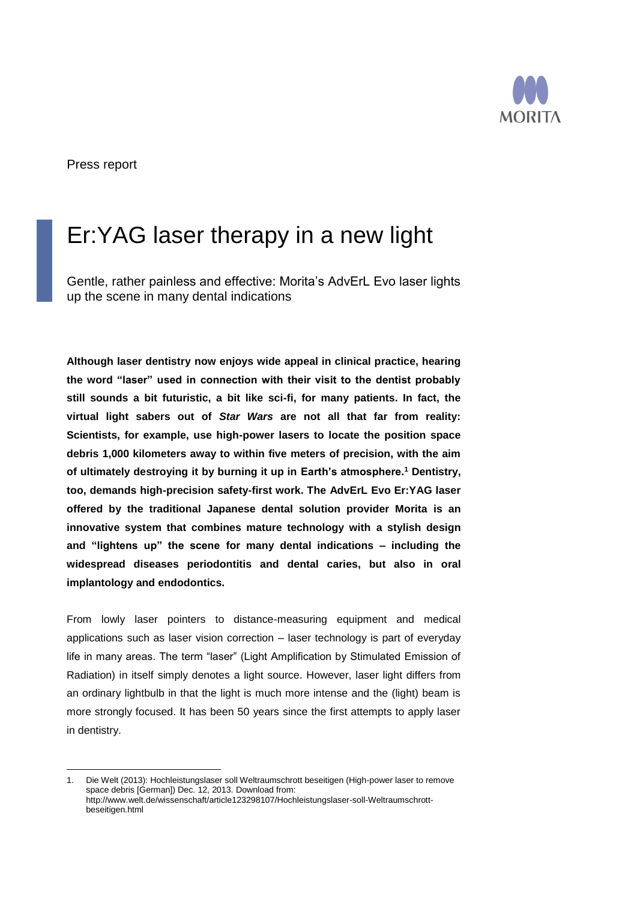

Press report

 $\overline{a}$ 

# Er:YAG laser therapy in a new light

Gentle, rather painless and effective: Morita's AdvErL Evo laser lights up the scene in many dental indications

**Although laser dentistry now enjoys wide appeal in clinical practice, hearing the word "laser" used in connection with their visit to the dentist probably still sounds a bit futuristic, a bit like sci-fi, for many patients. In fact, the virtual light sabers out of** *Star Wars* **are not all that far from reality: Scientists, for example, use high-power lasers to locate the position space debris 1,000 kilometers away to within five meters of precision, with the aim of ultimately destroying it by burning it up in Earth's atmosphere. <sup>1</sup> Dentistry, too, demands high-precision safety-first work. The AdvErL Evo Er:YAG laser offered by the traditional Japanese dental solution provider Morita is an innovative system that combines mature technology with a stylish design and "lightens up" the scene for many dental indications – including the widespread diseases periodontitis and dental caries, but also in oral implantology and endodontics.**

From lowly laser pointers to distance-measuring equipment and medical applications such as laser vision correction – laser technology is part of everyday life in many areas. The term "laser" (Light Amplification by Stimulated Emission of Radiation) in itself simply denotes a light source. However, laser light differs from an ordinary lightbulb in that the light is much more intense and the (light) beam is more strongly focused. It has been 50 years since the first attempts to apply laser in dentistry.

<sup>1.</sup> Die Welt (2013): Hochleistungslaser soll Weltraumschrott beseitigen (High-power laser to remove space debris [German]) Dec. 12, 2013. Download from: http://www.welt.de/wissenschaft/article123298107/Hochleistungslaser-soll-Weltraumschrottbeseitigen.html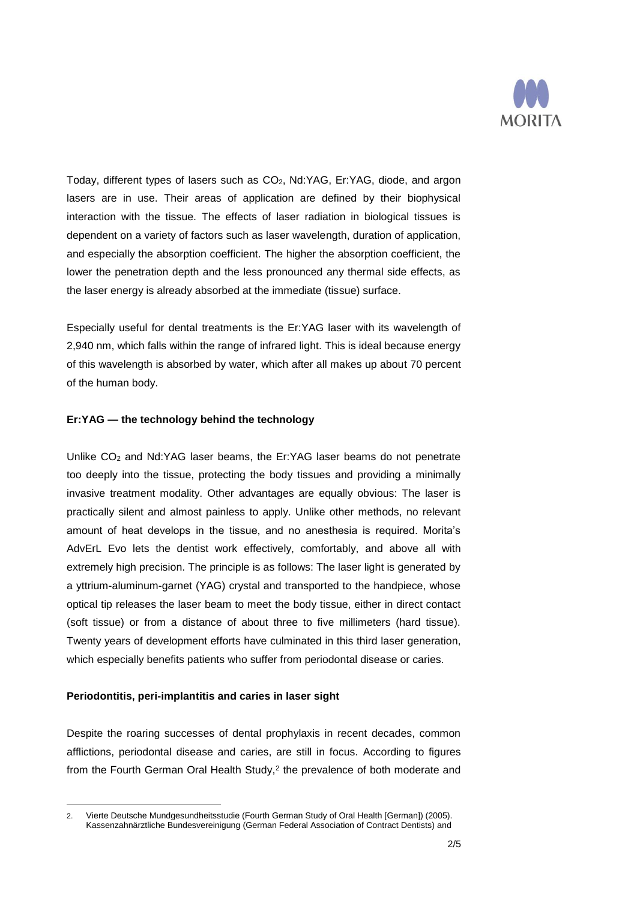

Today, different types of lasers such as CO<sub>2</sub>, Nd:YAG, Er:YAG, diode, and argon lasers are in use. Their areas of application are defined by their biophysical interaction with the tissue. The effects of laser radiation in biological tissues is dependent on a variety of factors such as laser wavelength, duration of application, and especially the absorption coefficient. The higher the absorption coefficient, the lower the penetration depth and the less pronounced any thermal side effects, as the laser energy is already absorbed at the immediate (tissue) surface.

Especially useful for dental treatments is the Er:YAG laser with its wavelength of 2,940 nm, which falls within the range of infrared light. This is ideal because energy of this wavelength is absorbed by water, which after all makes up about 70 percent of the human body.

# **Er:YAG — the technology behind the technology**

Unlike CO<sub>2</sub> and Nd:YAG laser beams, the Er:YAG laser beams do not penetrate too deeply into the tissue, protecting the body tissues and providing a minimally invasive treatment modality. Other advantages are equally obvious: The laser is practically silent and almost painless to apply. Unlike other methods, no relevant amount of heat develops in the tissue, and no anesthesia is required. Morita's AdvErL Evo lets the dentist work effectively, comfortably, and above all with extremely high precision. The principle is as follows: The laser light is generated by a yttrium-aluminum-garnet (YAG) crystal and transported to the handpiece, whose optical tip releases the laser beam to meet the body tissue, either in direct contact (soft tissue) or from a distance of about three to five millimeters (hard tissue). Twenty years of development efforts have culminated in this third laser generation, which especially benefits patients who suffer from periodontal disease or caries.

### **Periodontitis, peri-implantitis and caries in laser sight**

Despite the roaring successes of dental prophylaxis in recent decades, common afflictions, periodontal disease and caries, are still in focus. According to figures from the Fourth German Oral Health Study,<sup>2</sup> the prevalence of both moderate and

 $\overline{a}$ 2. Vierte Deutsche Mundgesundheitsstudie (Fourth German Study of Oral Health [German]) (2005). Kassenzahnärztliche Bundesvereinigung (German Federal Association of Contract Dentists) and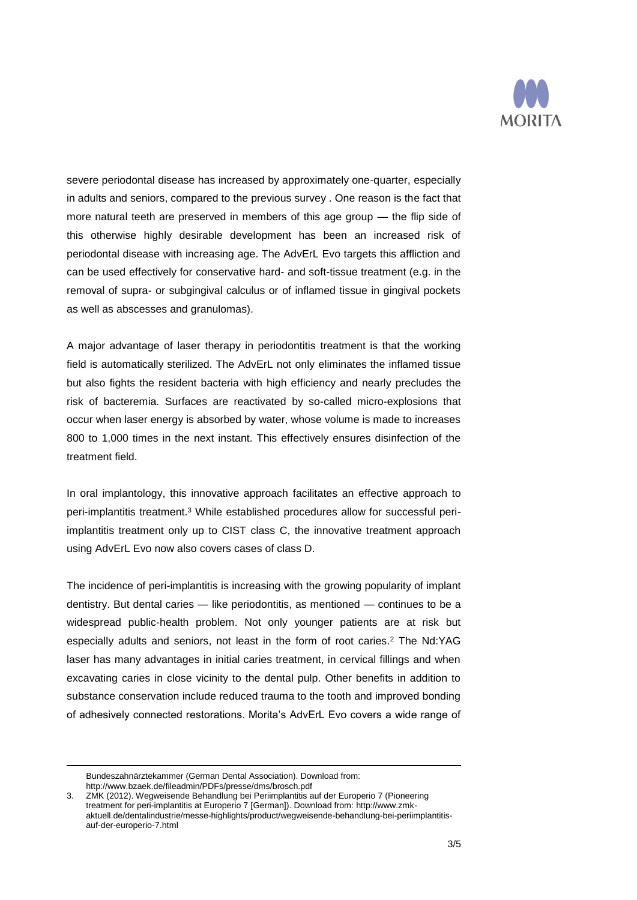

severe periodontal disease has increased by approximately one-quarter, especially in adults and seniors, compared to the previous survey . One reason is the fact that more natural teeth are preserved in members of this age group — the flip side of this otherwise highly desirable development has been an increased risk of periodontal disease with increasing age. The AdvErL Evo targets this affliction and can be used effectively for conservative hard- and soft-tissue treatment (e.g. in the removal of supra- or subgingival calculus or of inflamed tissue in gingival pockets as well as abscesses and granulomas).

A major advantage of laser therapy in periodontitis treatment is that the working field is automatically sterilized. The AdvErL not only eliminates the inflamed tissue but also fights the resident bacteria with high efficiency and nearly precludes the risk of bacteremia. Surfaces are reactivated by so-called micro-explosions that occur when laser energy is absorbed by water, whose volume is made to increases 800 to 1,000 times in the next instant. This effectively ensures disinfection of the treatment field.

In oral implantology, this innovative approach facilitates an effective approach to peri-implantitis treatment. <sup>3</sup> While established procedures allow for successful periimplantitis treatment only up to CIST class C, the innovative treatment approach using AdvErL Evo now also covers cases of class D.

The incidence of peri-implantitis is increasing with the growing popularity of implant dentistry. But dental caries — like periodontitis, as mentioned — continues to be a widespread public-health problem. Not only younger patients are at risk but especially adults and seniors, not least in the form of root caries.<sup>2</sup> The Nd:YAG laser has many advantages in initial caries treatment, in cervical fillings and when excavating caries in close vicinity to the dental pulp. Other benefits in addition to substance conservation include reduced trauma to the tooth and improved bonding of adhesively connected restorations. Morita's AdvErL Evo covers a wide range of

Bundeszahnärztekammer (German Dental Association). Download from: http://www.bzaek.de/fileadmin/PDFs/presse/dms/brosch.pdf

 $\overline{a}$ 

<sup>3.</sup> ZMK (2012). Wegweisende Behandlung bei Periimplantitis auf der Europerio 7 (Pioneering treatment for peri-implantitis at Europerio 7 [German]). Download from: http://www.zmkaktuell.de/dentalindustrie/messe-highlights/product/wegweisende-behandlung-bei-periimplantitisauf-der-europerio-7.html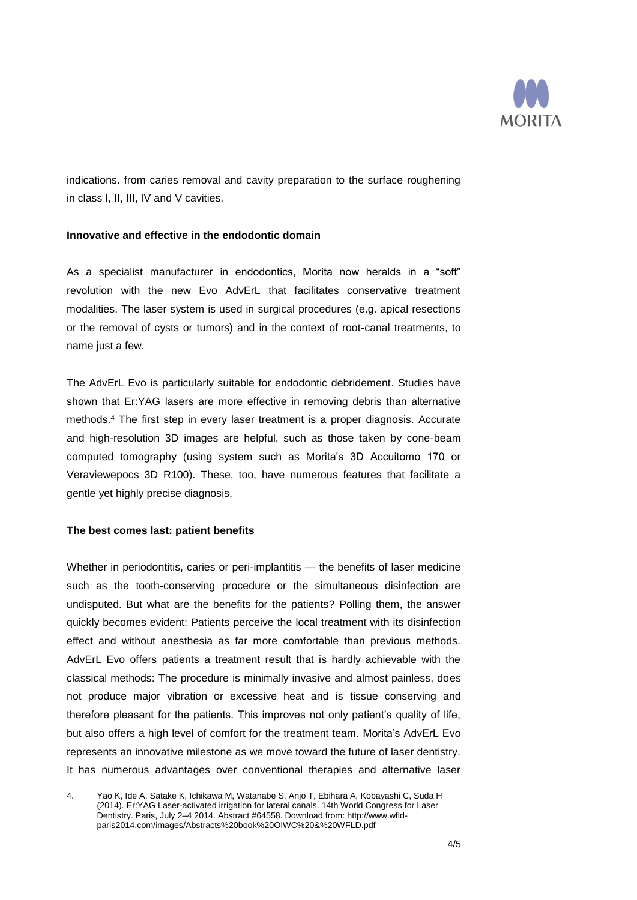

indications. from caries removal and cavity preparation to the surface roughening in class I, II, III, IV and V cavities.

# **Innovative and effective in the endodontic domain**

As a specialist manufacturer in endodontics, Morita now heralds in a "soft" revolution with the new Evo AdvErL that facilitates conservative treatment modalities. The laser system is used in surgical procedures (e.g. apical resections or the removal of cysts or tumors) and in the context of root-canal treatments, to name just a few.

The AdvErL Evo is particularly suitable for endodontic debridement. Studies have shown that Er:YAG lasers are more effective in removing debris than alternative methods. <sup>4</sup> The first step in every laser treatment is a proper diagnosis. Accurate and high-resolution 3D images are helpful, such as those taken by cone-beam computed tomography (using system such as Morita's 3D Accuitomo 170 or Veraviewepocs 3D R100). These, too, have numerous features that facilitate a gentle yet highly precise diagnosis.

### **The best comes last: patient benefits**

Whether in periodontitis, caries or peri-implantitis — the benefits of laser medicine such as the tooth-conserving procedure or the simultaneous disinfection are undisputed. But what are the benefits for the patients? Polling them, the answer quickly becomes evident: Patients perceive the local treatment with its disinfection effect and without anesthesia as far more comfortable than previous methods. AdvErL Evo offers patients a treatment result that is hardly achievable with the classical methods: The procedure is minimally invasive and almost painless, does not produce major vibration or excessive heat and is tissue conserving and therefore pleasant for the patients. This improves not only patient's quality of life, but also offers a high level of comfort for the treatment team. Morita's AdvErL Evo represents an innovative milestone as we move toward the future of laser dentistry. It has numerous advantages over conventional therapies and alternative laser

 $\overline{a}$ 4. Yao K, Ide A, Satake K, Ichikawa M, Watanabe S, Anjo T, Ebihara A, Kobayashi C, Suda H (2014). Er:YAG Laser-activated irrigation for lateral canals. 14th World Congress for Laser Dentistry. Paris, July 2–4 2014. Abstract #64558. Download from: http://www.wfldparis2014.com/images/Abstracts%20book%20OIWC%20&%20WFLD.pdf